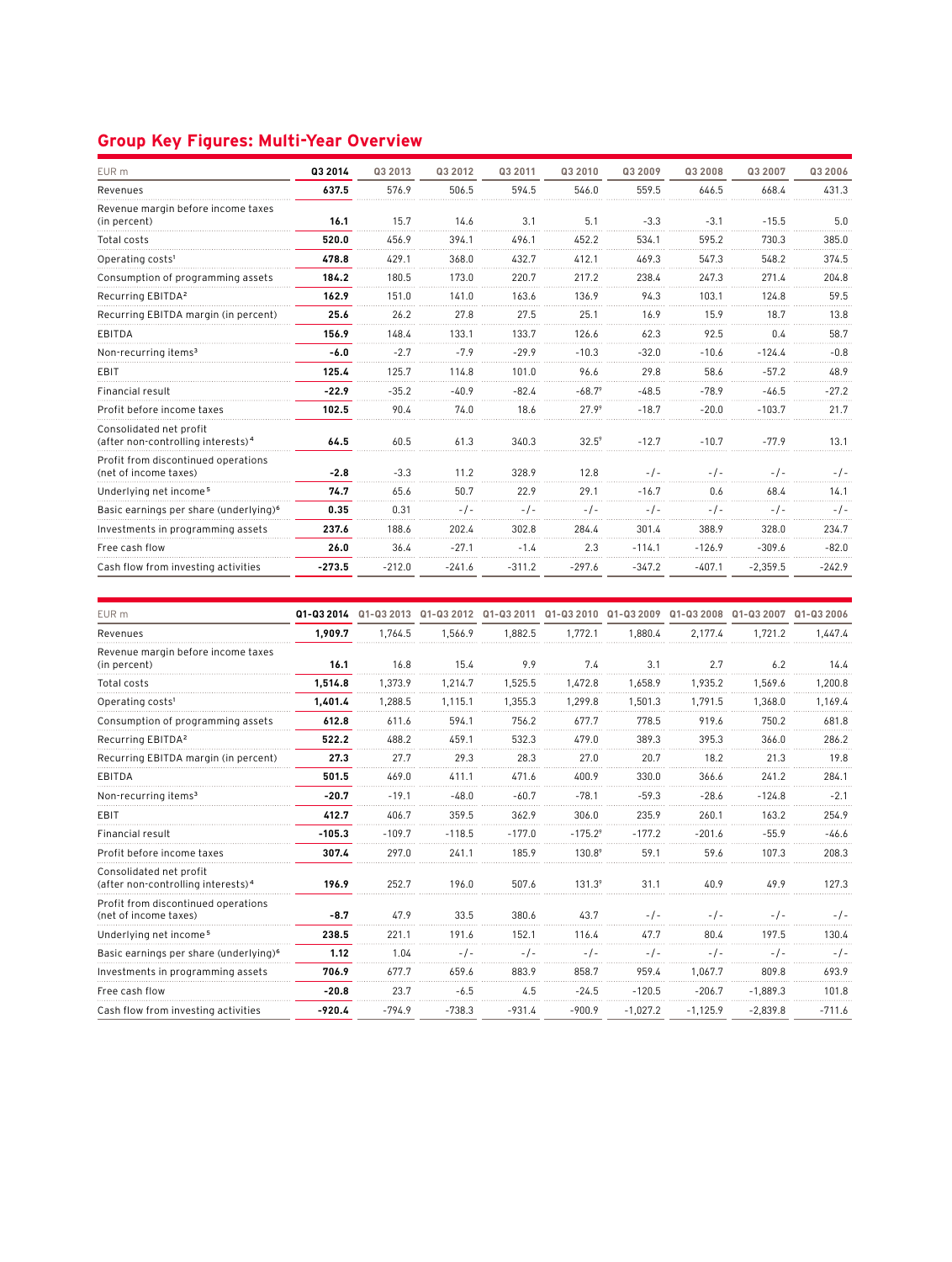## **Group Key Figures: Multi-Year Overview**

| EUR <sub>m</sub>                                                          | Q3 2014  | Q3 2013  | Q3 2012  | Q3 2011  | Q3 2010         | Q3 2009  | Q3 2008  | Q3 2007    | Q3 2006  |
|---------------------------------------------------------------------------|----------|----------|----------|----------|-----------------|----------|----------|------------|----------|
| Revenues                                                                  | 637.5    | 576.9    | 506.5    | 594.5    | 546.0           | 559.5    | 646.5    | 668.4      | 431.3    |
| Revenue margin before income taxes<br>(in percent)                        | 16.1     | 15.7     | 14.6     | 3.1      | 5.1             | $-3.3$   | $-3.1$   | $-15.5$    | 5.0      |
| Total costs                                                               | 520.0    | 456.9    | 394.1    | 496.1    | 452.2           | 534.1    | 595.2    | 730.3      | 385.0    |
| Operating costs <sup>1</sup>                                              | 478.8    | 429.1    | 368.0    | 432.7    | 412.1           | 469.3    | 547.3    | 548.2      | 374.5    |
| Consumption of programming assets                                         | 184.2    | 180.5    | 173.0    | 220.7    | 217.2           | 238.4    | 247.3    | 271.4      | 204.8    |
| Recurring EBITDA <sup>2</sup>                                             | 162.9    | 151.0    | 141.0    | 163.6    | 136.9           | 94.3     | 103.1    | 124.8      | 59.5     |
| Recurring EBITDA margin (in percent)                                      | 25.6     | 26.2     | 27.8     | 27.5     | 25.1            | 16.9     | 15.9     | 18.7       | 13.8     |
| <b>EBITDA</b>                                                             | 156.9    | 148.4    | 133.1    | 133.7    | 126.6           | 62.3     | 92.5     | 0.4        | 58.7     |
| Non-recurring items <sup>3</sup>                                          | $-6.0$   | $-2.7$   | $-7.9$   | $-29.9$  | $-10.3$         | $-32.0$  | $-10.6$  | $-124.4$   | $-0.8$   |
| <b>EBIT</b>                                                               | 125.4    | 125.7    | 114.8    | 101.0    | 96.6            | 29.8     | 58.6     | $-57.2$    | 48.9     |
| Financial result                                                          | $-22.9$  | $-35.2$  | $-40.9$  | $-82.4$  | $-68.7^{\circ}$ | $-48.5$  | $-78.9$  | $-46.5$    | $-27.2$  |
| Profit before income taxes                                                | 102.5    | 90.4     | 74.0     | 18.6     | 27.99           | $-18.7$  | $-20.0$  | $-103.7$   | 21.7     |
| Consolidated net profit<br>(after non-controlling interests) <sup>4</sup> | 64.5     | 60.5     | 61.3     | 340.3    | $32.5^9$        | $-12.7$  | $-10.7$  | $-77.9$    | 13.1     |
| Profit from discontinued operations<br>(net of income taxes)              | $-2.8$   | $-3.3$   | 11.2     | 328.9    | 12.8            | $-1$ -   | $-1-$    | $-1-$      | - / -    |
| Underlying net income <sup>5</sup>                                        | 74.7     | 65.6     | 50.7     | 22.9     | 29.1            | $-16.7$  | 0.6      | 68.4       | 14.1     |
| Basic earnings per share (underlying) <sup>6</sup>                        | 0.35     | 0.31     | $-1-$    | $-1-$    |                 |          | - / -    | -7-        | $-1-$    |
| Investments in programming assets                                         | 237.6    | 188.6    | 202.4    | 302.8    | 284.4           | 301.4    | 388.9    | 328.0      | 234.7    |
| Free cash flow                                                            | 26.0     | 36.4     | $-27.1$  | $-1.4$   | 2.3             | $-114.1$ | $-126.9$ | $-309.6$   | $-82.0$  |
| Cash flow from investing activities                                       | $-273.5$ | $-212.0$ | $-241.6$ | $-311.2$ | $-297.6$        | $-347.2$ | $-407.1$ | $-2,359.5$ | $-242.9$ |

| EUR m                                                                     | Q1-Q3 2014 |          | Q1-Q3 2013 Q1-Q3 2012 Q1-Q3 2011 Q1-Q3 2010 Q1-Q3 2009 Q1-Q3 2008 Q1-Q3 2007 |          |                       |            |            |            | Q1-Q3 2006 |
|---------------------------------------------------------------------------|------------|----------|------------------------------------------------------------------------------|----------|-----------------------|------------|------------|------------|------------|
| Revenues                                                                  | 1.909.7    | 1.764.5  | 1.566.9                                                                      | 1.882.5  | 1.772.1               | 1.880.4    | 2.177.4    | 1.721.2    | 1.447.4    |
| Revenue margin before income taxes<br>(in percent)                        | 16.1       | 16.8     | 15.4                                                                         | 9.9      | 7.4                   | 3.1        | 2.7        | 6.2        | 14.4       |
| Total costs                                                               | 1,514.8    | 1,373.9  | 1,214.7                                                                      | 1,525.5  | 1,472.8               | 1,658.9    | 1,935.2    | 1,569.6    | 1,200.8    |
| Operating costs <sup>1</sup>                                              | 1.401.4    | 1.288.5  | 1.115.1                                                                      | 1.355.3  | 1.299.8               | 1.501.3    | 1.791.5    | 1.368.0    | 1.169.4    |
| Consumption of programming assets                                         | 612.8      | 611.6    | 594.1                                                                        | 756.2    | 677.7                 | 778.5      | 919.6      | 750.2      | 681.8      |
| Recurring EBITDA <sup>2</sup>                                             | 522.2      | 488.2    | 459.1                                                                        | 532.3    | 479.0                 | 389.3      | 395.3      | 366.0      | 286.2      |
| Recurring EBITDA margin (in percent)                                      | 27.3       | 27.7     | 29.3                                                                         | 28.3     | 27.0                  | 20.7       | 18.2       | 21.3       | 19.8       |
| <b>EBITDA</b>                                                             | 501.5      | 469.0    | 411.1                                                                        | 471.6    | 400.9                 | 330.0      | 366.6      | 241.2      | 284.1      |
| Non-recurring items <sup>3</sup>                                          | $-20.7$    | $-19.1$  | $-48.0$                                                                      | $-60.7$  | $-78.1$               | $-59.3$    | $-28.6$    | $-124.8$   | $-2.1$     |
| EBIT                                                                      | 412.7      | 406.7    | 359.5                                                                        | 362.9    | 306.0                 | 235.9      | 260.1      | 163.2      | 254.9      |
| <b>Financial result</b>                                                   | $-105.3$   | $-109.7$ | $-118.5$                                                                     | $-177.0$ | $-175.2$ <sup>9</sup> | $-177.2$   | $-201.6$   | $-55.9$    | $-46.6$    |
| Profit before income taxes                                                | 307.4      | 297.0    | 241.1                                                                        | 185.9    | 130.89                | 59.1       | 59.6       | 107.3      | 208.3      |
| Consolidated net profit<br>(after non-controlling interests) <sup>4</sup> | 196.9      | 252.7    | 196.0                                                                        | 507.6    | $131.3^9$             | 31.1       | 40.9       | 49.9       | 127.3      |
| Profit from discontinued operations<br>(net of income taxes)              | $-8.7$     | 47.9     | 33.5                                                                         | 380.6    | 43.7                  | $-1-$      | $-1-$      | $-1-$      | - / -      |
| Underlying net income <sup>5</sup>                                        | 238.5      | 221.1    | 191.6                                                                        | 152.1    | 116.4                 | 47.7       | 80.4       | 197.5      | 130.4      |
| Basic earnings per share (underlying) <sup>6</sup>                        | 1.12       | 1.04     | $-1$                                                                         |          |                       |            | -7-        | $-1-$      | $-1-$      |
| Investments in programming assets                                         | 706.9      | 677.7    | 659.6                                                                        | 883.9    | 858.7                 | 959.4      | 1.067.7    | 809.8      | 693.9      |
| Free cash flow                                                            | $-20.8$    | 23.7     | $-6.5$                                                                       | 4.5      | $-24.5$               | $-120.5$   | $-206.7$   | $-1.889.3$ | 101.8      |
| Cash flow from investing activities                                       | $-920.4$   | $-794.9$ | $-738.3$                                                                     | $-931.4$ | $-900.9$              | $-1,027.2$ | $-1,125.9$ | $-2,839.8$ | $-711.6$   |